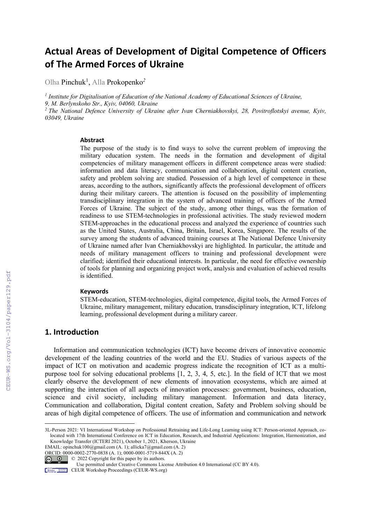# Actual Areas of Development of Digital Competence of Officers of The Armed Forces of Ukraine

Olha Pinchuk1 , Alla Prokopenko*<sup>2</sup>*

*1 Institute for Digitalisation of Education of the National Academy of Educational Sciences of Ukraine, 9, M. Berlynskoho Str., Kyiv, 04060, Ukraine*  <sup>2</sup> The National Defence University of Ukraine after Ivan Cherniakhovskyi, 28, Povitroflotskyi avenue, Kyiv, *03049, Ukraine* 

#### Abstract

The purpose of the study is to find ways to solve the current problem of improving the military education system. The needs in the formation and development of digital competencies of military management officers in different competence areas were studied: information and data literacy, communication and collaboration, digital content creation, safety and problem solving are studied. Possession of a high level of competence in these areas, according to the authors, significantly affects the professional development of officers during their military careers. The attention is focused on the possibility of implementing transdisciplinary integration in the system of advanced training of officers of the Armed Forces of Ukraine. The subject of the study, among other things, was the formation of readiness to use STEM-technologies in professional activities. The study reviewed modern STEM-approaches in the educational process and analyzed the experience of countries such as the United States, Australia, China, Britain, Israel, Korea, Singapore. The results of the survey among the students of advanced training courses at The National Defence University of Ukraine named after Ivan Cherniakhovskyi are highlighted. In particular, the attitude and needs of military management officers to training and professional development were clarified; identified their educational interests. In particular, the need for effective ownership of tools for planning and organizing project work, analysis and evaluation of achieved results is identified.

#### Keywords

STEM-education, STEM-technologies, digital competence, digital tools, the Armed Forces of Ukraine, military management, military education, transdisciplinary integration, ICT, lifelong learning, professional development during a military career.

# 1. Introduction

Information and communication technologies (ICT) have become drivers of innovative economic development of the leading countries of the world and the EU. Studies of various aspects of the impact of ICT on motivation and academic progress indicate the recognition of ICT as a multipurpose tool for solving educational problems [1, 2, 3, 4, 5, etc.]. In the field of ICT that we most clearly observe the development of new elements of innovation ecosystems, which are aimed at supporting the interaction of all aspects of innovation processes: government, business, education, science and civil society, including military management. Information and data literacy, Communication and collaboration, Digital content creation, Safety and Problem solving should be areas of high digital competence of officers. The use of information and communication and network

EMAIL: opinchuk100@gmail.com (A. 1); allicka7@gmail.com (A. 2)

ORCID: 0000-0002-2770-0838 (A. 1); 0000-0001-5719-844X (A. 2)

 $\circ$   $\circ$ © 2022 Copyright for this paper by its authors.

CEUR Workshop Proceedings (CEUR-WS.org)

<sup>3</sup>L-Person 2021: VI International Workshop on Professional Retraining and Life-Long Learning using ICT: Person-oriented Approach, colocated with 17th International Conference on ICT in Education, Research, and Industrial Applications: Integration, Harmonization, and Knowledge Transfer (ICTERI 2021), October 1, 2021, Kherson, Ukraine

Use permitted under Creative Commons License Attribution 4.0 International (CC BY 4.0).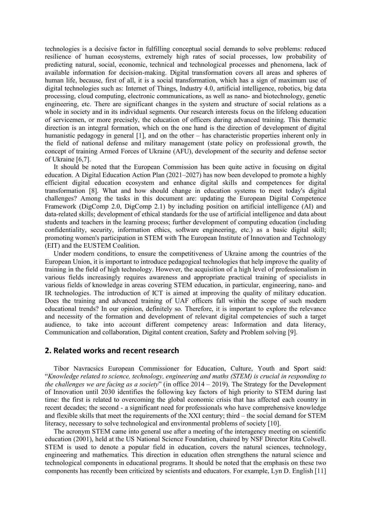technologies is a decisive factor in fulfilling conceptual social demands to solve problems: reduced resilience of human ecosystems, extremely high rates of social processes, low probability of predicting natural, social, economic, technical and technological processes and phenomena, lack of available information for decision-making. Digital transformation covers all areas and spheres of human life, because, first of all, it is a social transformation, which has a sign of maximum use of digital technologies such as: Internet of Things, Industry 4.0, artificial intelligence, robotics, big data processing, cloud computing, electronic communications, as well as nano- and biotechnology, genetic engineering, etc. There are significant changes in the system and structure of social relations as a whole in society and in its individual segments. Our research interests focus on the lifelong education of servicemen, or more precisely, the education of officers during advanced training. This thematic direction is an integral formation, which on the one hand is the direction of development of digital humanistic pedagogy in general [1], and on the other – has characteristic properties inherent only in the field of national defense and military management (state policy on professional growth, the concept of training Armed Forces of Ukraine (AFU), development of the security and defense sector of Ukraine [6,7].

It should be noted that the European Commission has been quite active in focusing on digital education. A Digital Education Action Plan (2021–2027) has now been developed to promote a highly efficient digital education ecosystem and enhance digital skills and competences for digital transformation [8]. What and how should change in education systems to meet today's digital challenges? Among the tasks in this document are: updating the European Digital Competence Framework (DigComp 2.0, DigComp 2.1) by including position on artificial intelligence (AI) and data-related skills; development of ethical standards for the use of artificial intelligence and data about students and teachers in the learning process; further development of computing education (including confidentiality, security, information ethics, software engineering, etc.) as a basic digital skill; promoting women's participation in STEM with The European Institute of Innovation and Technology (EIT) and the EUSTEM Coalition.

Under modern conditions, to ensure the competitiveness of Ukraine among the countries of the European Union, it is important to introduce pedagogical technologies that help improve the quality of training in the field of high technology. However, the acquisition of a high level of professionalism in various fields increasingly requires awareness and appropriate practical training of specialists in various fields of knowledge in areas covering STEM education, in particular, engineering, nano- and IR technologies. The introduction of ICT is aimed at improving the quality of military education. Does the training and advanced training of UAF officers fall within the scope of such modern educational trends? In our opinion, definitely so. Therefore, it is important to explore the relevance and necessity of the formation and development of relevant digital competencies of such a target audience, to take into account different competency areas: Information and data literacy, Communication and collaboration, Digital content creation, Safety and Problem solving [9].

## 2. Related works and recent research

Tibor Navracsics European Commissioner for Education, Culture, Youth and Sport said: "*Knowledge related to science, technology, engineering and maths (STEM) is crucial in responding to the challenges we are facing as a society*" (in office 2014 – 2019). The Strategy for the Development of Innovation until 2030 identifies the following key factors of high priority to STEM during last time: the first is related to overcoming the global economic crisis that has affected each country in recent decades; the second - a significant need for professionals who have comprehensive knowledge and flexible skills that meet the requirements of the XXI century; third – the social demand for STEM literacy, necessary to solve technological and environmental problems of society [10].

The acronym STEM came into general use after a meeting of the interagency meeting on scientific education (2001), held at the US National Science Foundation, chaired by NSF Director Rita Colwell. STEM is used to denote a popular field in education, covers the natural sciences, technology, engineering and mathematics. This direction in education often strengthens the natural science and technological components in educational programs. It should be noted that the emphasis on these two components has recently been criticized by scientists and educators. For example, Lyn D. English [11]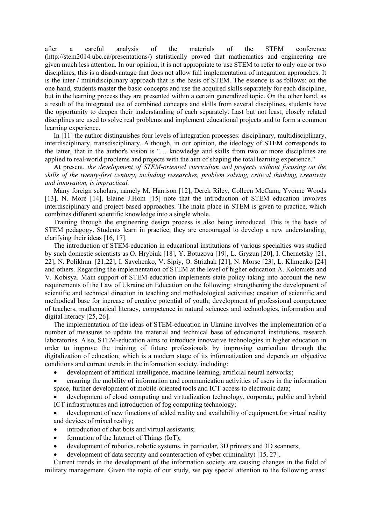after a careful analysis of the materials of the STEM conference (http://stem2014.ubc.ca/presentations/) statistically proved that mathematics and engineering are given much less attention. In our opinion, it is not appropriate to use STEM to refer to only one or two disciplines, this is a disadvantage that does not allow full implementation of integration approaches. It is the inter / multidisciplinary approach that is the basis of STEM. The essence is as follows: on the one hand, students master the basic concepts and use the acquired skills separately for each discipline, but in the learning process they are presented within a certain generalized topic. On the other hand, as a result of the integrated use of combined concepts and skills from several disciplines, students have the opportunity to deepen their understanding of each separately. Last but not least, closely related disciplines are used to solve real problems and implement educational projects and to form a common learning experience.

In [11] the author distinguishes four levels of integration processes: disciplinary, multidisciplinary, interdisciplinary, transdisciplinary. Although, in our opinion, the ideology of STEM corresponds to the latter, that in the author's vision is "… knowledge and skills from two or more disciplines are applied to real-world problems and projects with the aim of shaping the total learning experience."

At present, *the development of STEM-oriented curriculum and projects without focusing on the skills of the twenty-first century, including researches, problem solving, critical thinking, creativity and innovation, is impractical.* 

Many foreign scholars, namely M. Harrison [12], Derek Riley, Colleen McCann, Yvonne Woods [13], N. More [14], Elaine J.Hom [15] note that the introduction of STEM education involves interdisciplinary and project-based approaches. The main place in STEM is given to practice, which combines different scientific knowledge into a single whole.

Training through the engineering design process is also being introduced. This is the basis of STEM pedagogy. Students learn in practice, they are encouraged to develop a new understanding, clarifying their ideas [16, 17].

The introduction of STEM-education in educational institutions of various specialties was studied by such domestic scientists as O. Hrybiuk [18], Y. Botuzova [19], L. Gryzun [20], I. Chernetsky [21, 22], N. Polikhun. [21,22], I. Savchenko, V. Sipiy, O. Strizhak [21], N. Morse [23], L. Klimenko [24] and others. Regarding the implementation of STEM at the level of higher education A. Kolomiets and V. Kobisya. Main support of STEM-education implements state policy taking into account the new requirements of the Law of Ukraine on Education on the following: strengthening the development of scientific and technical direction in teaching and methodological activities; creation of scientific and methodical base for increase of creative potential of youth; development of professional competence of teachers, mathematical literacy, competence in natural sciences and technologies, information and digital literacy [25, 26].

The implementation of the ideas of STEM-education in Ukraine involves the implementation of a number of measures to update the material and technical base of educational institutions, research laboratories. Also, STEM-education aims to introduce innovative technologies in higher education in order to improve the training of future professionals by improving curriculum through the digitalization of education, which is a modern stage of its informatization and depends on objective conditions and current trends in the information society, including:

- development of artificial intelligence, machine learning, artificial neural networks;
- ensuring the mobility of information and communication activities of users in the information space, further development of mobile-oriented tools and ICT access to electronic data;

 development of cloud computing and virtualization technology, corporate, public and hybrid ICT infrastructures and introduction of fog computing technology;

 development of new functions of added reality and availability of equipment for virtual reality and devices of mixed reality;

- introduction of chat bots and virtual assistants;
- formation of the Internet of Things (IoT);
- development of robotics, robotic systems, in particular, 3D printers and 3D scanners;
- development of data security and counteraction of cyber criminality) [15, 27].

Current trends in the development of the information society are causing changes in the field of military management. Given the topic of our study, we pay special attention to the following areas: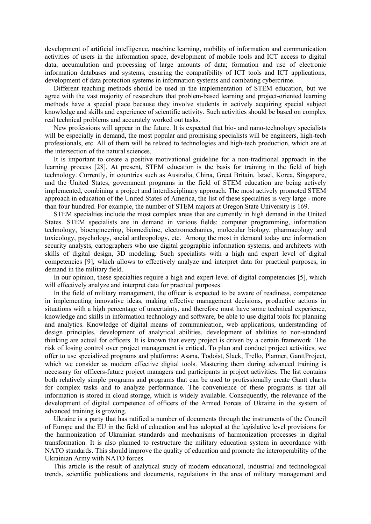development of artificial intelligence, machine learning, mobility of information and communication activities of users in the information space, development of mobile tools and ICT access to digital data, accumulation and processing of large amounts of data; formation and use of electronic information databases and systems, ensuring the compatibility of ICT tools and ICT applications, development of data protection systems in information systems and combating cybercrime.

Different teaching methods should be used in the implementation of STEM education, but we agree with the vast majority of researchers that problem-based learning and project-oriented learning methods have a special place because they involve students in actively acquiring special subject knowledge and skills and experience of scientific activity. Such activities should be based on complex real technical problems and accurately worked out tasks.

New professions will appear in the future. It is expected that bio- and nano-technology specialists will be especially in demand, the most popular and promising specialists will be engineers, high-tech professionals, etc. All of them will be related to technologies and high-tech production, which are at the intersection of the natural sciences.

It is important to create a positive motivational guideline for a non-traditional approach in the learning process [28]. At present, STEM education is the basis for training in the field of high technology. Currently, in countries such as Australia, China, Great Britain, Israel, Korea, Singapore, and the United States, government programs in the field of STEM education are being actively implemented, combining a project and interdisciplinary approach. The most actively promoted STEM approach in education of the United States of America, the list of these specialties is very large - more than four hundred. For example, the number of STEM majors at Oregon State University is 169.

STEM specialties include the most complex areas that are currently in high demand in the United States. STEM specialists are in demand in various fields: computer programming, information technology, bioengineering, biomedicine, electromechanics, molecular biology, pharmacology and toxicology, psychology, social anthropology, etc. Among the most in demand today are: information security analysts, cartographers who use digital geographic information systems, and architects with skills of digital design, 3D modeling. Such specialists with a high and expert level of digital competencies [9], which allows to effectively analyze and interpret data for practical purposes, in demand in the military field.

In our opinion, these specialties require a high and expert level of digital competencies [5], which will effectively analyze and interpret data for practical purposes.

In the field of military management, the officer is expected to be aware of readiness, competence in implementing innovative ideas, making effective management decisions, productive actions in situations with a high percentage of uncertainty, and therefore must have some technical experience, knowledge and skills in information technology and software, be able to use digital tools for planning and analytics. Knowledge of digital means of communication, web applications, understanding of design principles, development of analytical abilities, development of abilities to non-standard thinking are actual for officers. It is known that every project is driven by a certain framework. The risk of losing control over project management is critical. To plan and conduct project activities, we offer to use specialized programs and platforms: Asana, Todoist, Slack, Trello, Planner, GanttProject, which we consider as modern effective digital tools. Mastering them during advanced training is necessary for officers-future project managers and participants in project activities. The list contains both relatively simple programs and programs that can be used to professionally create Gantt charts for complex tasks and to analyze performance. The convenience of these programs is that all information is stored in cloud storage, which is widely available. Consequently, the relevance of the development of digital competence of officers of the Armed Forces of Ukraine in the system of advanced training is growing.

Ukraine is a party that has ratified a number of documents through the instruments of the Council of Europe and the EU in the field of education and has adopted at the legislative level provisions for the harmonization of Ukrainian standards and mechanisms of harmonization processes in digital transformation. It is also planned to restructure the military education system in accordance with NATO standards. This should improve the quality of education and promote the interoperability of the Ukrainian Army with NATO forces.

This article is the result of analytical study of modern educational, industrial and technological trends, scientific publications and documents, regulations in the area of military management and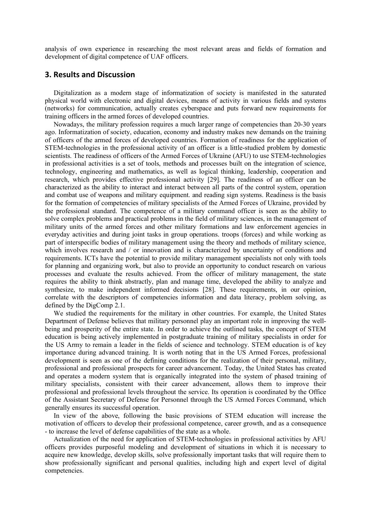analysis of own experience in researching the most relevant areas and fields of formation and development of digital competence of UAF officers.

# 3. Results and Discussion

Digitalization as a modern stage of informatization of society is manifested in the saturated physical world with electronic and digital devices, means of activity in various fields and systems (networks) for communication, actually creates cyberspace and puts forward new requirements for training officers in the armed forces of developed countries.

Nowadays, the military profession requires a much larger range of competencies than 20-30 years ago. Informatization of society, education, economy and industry makes new demands on the training of officers of the armed forces of developed countries. Formation of readiness for the application of STEM-technologies in the professional activity of an officer is a little-studied problem by domestic scientists. The readiness of officers of the Armed Forces of Ukraine (AFU) to use STEM-technologies in professional activities is a set of tools, methods and processes built on the integration of science, technology, engineering and mathematics, as well as logical thinking, leadership, cooperation and research, which provides effective professional activity [29]. The readiness of an officer can be characterized as the ability to interact and interact between all parts of the control system, operation and combat use of weapons and military equipment. and reading sign systems. Readiness is the basis for the formation of competencies of military specialists of the Armed Forces of Ukraine, provided by the professional standard. The competence of a military command officer is seen as the ability to solve complex problems and practical problems in the field of military sciences, in the management of military units of the armed forces and other military formations and law enforcement agencies in everyday activities and during joint tasks in group operations. troops (forces) and while working as part of interspecific bodies of military management using the theory and methods of military science, which involves research and / or innovation and is characterized by uncertainty of conditions and requirements. ICTs have the potential to provide military management specialists not only with tools for planning and organizing work, but also to provide an opportunity to conduct research on various processes and evaluate the results achieved. From the officer of military management, the state requires the ability to think abstractly, plan and manage time, developed the ability to analyze and synthesize, to make independent informed decisions [28]. These requirements, in our opinion, correlate with the descriptors of competencies information and data literacy, problem solving, as defined by the DigComp 2.1.

We studied the requirements for the military in other countries. For example, the United States Department of Defense believes that military personnel play an important role in improving the wellbeing and prosperity of the entire state. In order to achieve the outlined tasks, the concept of STEM education is being actively implemented in postgraduate training of military specialists in order for the US Army to remain a leader in the fields of science and technology. STEM education is of key importance during advanced training. It is worth noting that in the US Armed Forces, professional development is seen as one of the defining conditions for the realization of their personal, military, professional and professional prospects for career advancement. Today, the United States has created and operates a modern system that is organically integrated into the system of phased training of military specialists, consistent with their career advancement, allows them to improve their professional and professional levels throughout the service. Its operation is coordinated by the Office of the Assistant Secretary of Defense for Personnel through the US Armed Forces Command, which generally ensures its successful operation.

In view of the above, following the basic provisions of STEM education will increase the motivation of officers to develop their professional competence, career growth, and as a consequence - to increase the level of defense capabilities of the state as a whole.

Actualization of the need for application of STEM-technologies in professional activities by AFU officers provides purposeful modeling and development of situations in which it is necessary to acquire new knowledge, develop skills, solve professionally important tasks that will require them to show professionally significant and personal qualities, including high and expert level of digital competencies.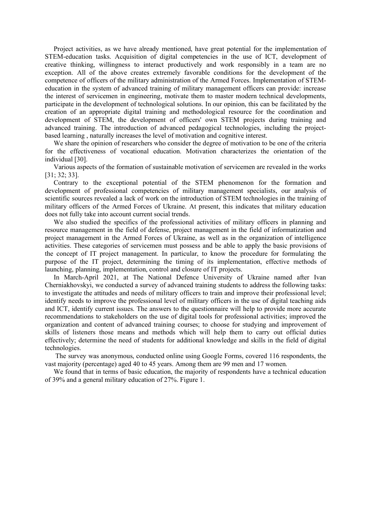Project activities, as we have already mentioned, have great potential for the implementation of STEM-education tasks. Acquisition of digital competencies in the use of ICT, development of creative thinking, willingness to interact productively and work responsibly in a team are no exception. All of the above creates extremely favorable conditions for the development of the competence of officers of the military administration of the Armed Forces. Implementation of STEMeducation in the system of advanced training of military management officers can provide: increase the interest of servicemen in engineering, motivate them to master modern technical developments, participate in the development of technological solutions. In our opinion, this can be facilitated by the creation of an appropriate digital training and methodological resource for the coordination and development of STEM, the development of officers' own STEM projects during training and advanced training. The introduction of advanced pedagogical technologies, including the projectbased learning , naturally increases the level of motivation and cognitive interest.

We share the opinion of researchers who consider the degree of motivation to be one of the criteria for the effectiveness of vocational education. Motivation characterizes the orientation of the individual [30].

Various aspects of the formation of sustainable motivation of servicemen are revealed in the works [31; 32; 33].

Contrary to the exceptional potential of the STEM phenomenon for the formation and development of professional competencies of military management specialists, our analysis of scientific sources revealed a lack of work on the introduction of STEM technologies in the training of military officers of the Armed Forces of Ukraine. At present, this indicates that military education does not fully take into account current social trends.

We also studied the specifics of the professional activities of military officers in planning and resource management in the field of defense, project management in the field of informatization and project management in the Armed Forces of Ukraine, as well as in the organization of intelligence activities. These categories of servicemen must possess and be able to apply the basic provisions of the concept of IT project management. In particular, to know the procedure for formulating the purpose of the IT project, determining the timing of its implementation, effective methods of launching, planning, implementation, control and closure of IT projects.

In March-April 2021, at The National Defence University of Ukraine named after Ivan Cherniakhovskyi, we conducted a survey of advanced training students to address the following tasks: to investigate the attitudes and needs of military officers to train and improve their professional level; identify needs to improve the professional level of military officers in the use of digital teaching aids and ICT, identify current issues. The answers to the questionnaire will help to provide more accurate recommendations to stakeholders on the use of digital tools for professional activities; improved the organization and content of advanced training courses; to choose for studying and improvement of skills of listeners those means and methods which will help them to carry out official duties effectively; determine the need of students for additional knowledge and skills in the field of digital technologies.

 The survey was anonymous, conducted online using Google Forms, covered 116 respondents, the vast majority (percentage) aged 40 to 45 years. Among them are 99 men and 17 women.

We found that in terms of basic education, the majority of respondents have a technical education of 39% and a general military education of 27%. Figure 1.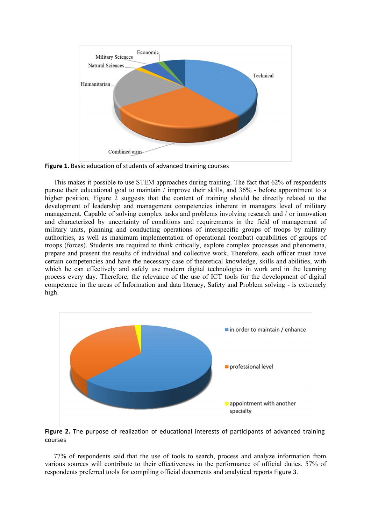

Figure 1. Basic education of students of advanced training courses

This makes it possible to use STEM approaches during training. The fact that 62% of respondents pursue their educational goal to maintain / improve their skills, and 36% - before appointment to a higher position, Figure 2 suggests that the content of training should be directly related to the development of leadership and management competencies inherent in managers level of military management. Capable of solving complex tasks and problems involving research and / or innovation and characterized by uncertainty of conditions and requirements in the field of management of military units, planning and conducting operations of interspecific groups of troops by military authorities, as well as maximum implementation of operational (combat) capabilities of groups of troops (forces). Students are required to think critically, explore complex processes and phenomena, prepare and present the results of individual and collective work. Therefore, each officer must have certain competencies and have the necessary case of theoretical knowledge, skills and abilities, with which he can effectively and safely use modern digital technologies in work and in the learning process every day. Therefore, the relevance of the use of ICT tools for the development of digital competence in the areas of Information and data literacy, Safety and Problem solving - is extremely high.



Figure 2. The purpose of realization of educational interests of participants of advanced training courses

77% of respondents said that the use of tools to search, process and analyze information from various sources will contribute to their effectiveness in the performance of official duties. 57% of respondents preferred tools for compiling official documents and analytical reports Figure 3.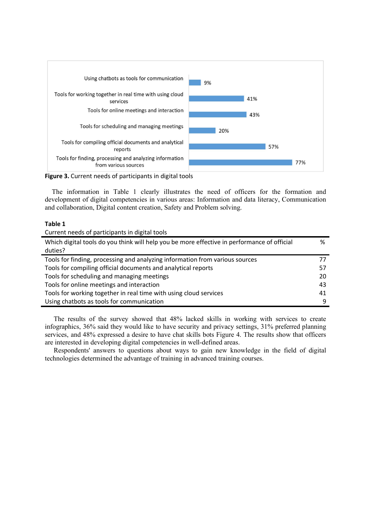

Figure 3. Current needs of participants in digital tools

The information in Table 1 clearly illustrates the need of officers for the formation and development of digital competencies in various areas: Information and data literacy, Communication and collaboration, Digital content creation, Safety and Problem solving.

#### Table 1

Current needs of participants in digital tools

| Which digital tools do you think will help you be more effective in performance of official | %  |
|---------------------------------------------------------------------------------------------|----|
| duties?                                                                                     |    |
| Tools for finding, processing and analyzing information from various sources                |    |
| Tools for compiling official documents and analytical reports                               | 57 |
| Tools for scheduling and managing meetings                                                  | 20 |
| Tools for online meetings and interaction                                                   | 43 |
| Tools for working together in real time with using cloud services                           | 41 |
| Using chatbots as tools for communication                                                   | 9  |

The results of the survey showed that 48% lacked skills in working with services to create infographics, 36% said they would like to have security and privacy settings, 31% preferred planning services, and 48% expressed a desire to have chat skills bots Figure 4. The results show that officers are interested in developing digital competencies in well-defined areas.

Respondents' answers to questions about ways to gain new knowledge in the field of digital technologies determined the advantage of training in advanced training courses.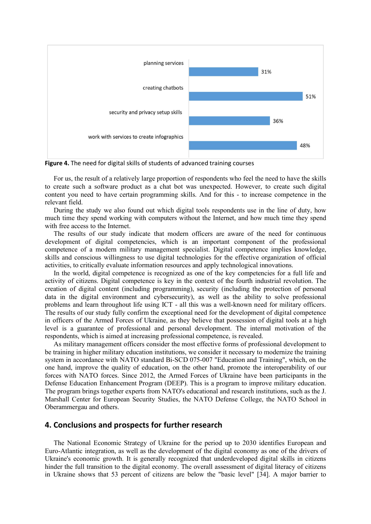

Figure 4. The need for digital skills of students of advanced training courses

For us, the result of a relatively large proportion of respondents who feel the need to have the skills to create such a software product as a chat bot was unexpected. However, to create such digital content you need to have certain programming skills. And for this - to increase competence in the relevant field.

During the study we also found out which digital tools respondents use in the line of duty, how much time they spend working with computers without the Internet, and how much time they spend with free access to the Internet.

The results of our study indicate that modern officers are aware of the need for continuous development of digital competencies, which is an important component of the professional competence of a modern military management specialist. Digital competence implies knowledge, skills and conscious willingness to use digital technologies for the effective organization of official activities, to critically evaluate information resources and apply technological innovations.

In the world, digital competence is recognized as one of the key competencies for a full life and activity of citizens. Digital competence is key in the context of the fourth industrial revolution. The creation of digital content (including programming), security (including the protection of personal data in the digital environment and cybersecurity), as well as the ability to solve professional problems and learn throughout life using ICT - all this was a well-known need for military officers. The results of our study fully confirm the exceptional need for the development of digital competence in officers of the Armed Forces of Ukraine, as they believe that possession of digital tools at a high level is a guarantee of professional and personal development. The internal motivation of the respondents, which is aimed at increasing professional competence, is revealed.

As military management officers consider the most effective forms of professional development to be training in higher military education institutions, we consider it necessary to modernize the training system in accordance with NATO standard Bi-SCD 075-007 "Education and Training", which, on the one hand, improve the quality of education, on the other hand, promote the interoperability of our forces with NATO forces. Since 2012, the Armed Forces of Ukraine have been participants in the Defense Education Enhancement Program (DEEP). This is a program to improve military education. The program brings together experts from NATO's educational and research institutions, such as the J. Marshall Center for European Security Studies, the NATO Defense College, the NATO School in Oberammergau and others.

## 4. Conclusions and prospects for further research

The National Economic Strategy of Ukraine for the period up to 2030 identifies European and Euro-Atlantic integration, as well as the development of the digital economy as one of the drivers of Ukraine's economic growth. It is generally recognized that underdeveloped digital skills in citizens hinder the full transition to the digital economy. The overall assessment of digital literacy of citizens in Ukraine shows that 53 percent of citizens are below the "basic level" [34]. A major barrier to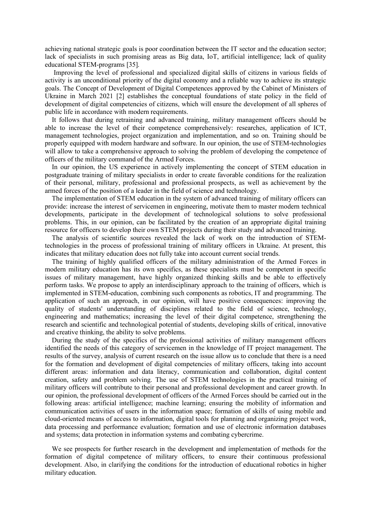achieving national strategic goals is poor coordination between the IT sector and the education sector; lack of specialists in such promising areas as Big data, IoT, artificial intelligence; lack of quality educational STEM-programs [35].

 Improving the level of professional and specialized digital skills of citizens in various fields of activity is an unconditional priority of the digital economy and a reliable way to achieve its strategic goals. The Concept of Development of Digital Competences approved by the Cabinet of Ministers of Ukraine in March 2021 [2] establishes the conceptual foundations of state policy in the field of development of digital competencies of citizens, which will ensure the development of all spheres of public life in accordance with modern requirements.

It follows that during retraining and advanced training, military management officers should be able to increase the level of their competence comprehensively: researches, application of ICT, management technologies, project organization and implementation, and so on. Training should be properly equipped with modern hardware and software. In our opinion, the use of STEM-technologies will allow to take a comprehensive approach to solving the problem of developing the competence of officers of the military command of the Armed Forces.

In our opinion, the US experience in actively implementing the concept of STEM education in postgraduate training of military specialists in order to create favorable conditions for the realization of their personal, military, professional and professional prospects, as well as achievement by the armed forces of the position of a leader in the field of science and technology.

The implementation of STEM education in the system of advanced training of military officers can provide: increase the interest of servicemen in engineering, motivate them to master modern technical developments, participate in the development of technological solutions to solve professional problems. This, in our opinion, can be facilitated by the creation of an appropriate digital training resource for officers to develop their own STEM projects during their study and advanced training.

The analysis of scientific sources revealed the lack of work on the introduction of STEMtechnologies in the process of professional training of military officers in Ukraine. At present, this indicates that military education does not fully take into account current social trends.

The training of highly qualified officers of the military administration of the Armed Forces in modern military education has its own specifics, as these specialists must be competent in specific issues of military management, have highly organized thinking skills and be able to effectively perform tasks. We propose to apply an interdisciplinary approach to the training of officers, which is implemented in STEM-education, combining such components as robotics, IT and programming. The application of such an approach, in our opinion, will have positive consequences: improving the quality of students' understanding of disciplines related to the field of science, technology, engineering and mathematics; increasing the level of their digital competence, strengthening the research and scientific and technological potential of students, developing skills of critical, innovative and creative thinking, the ability to solve problems.

During the study of the specifics of the professional activities of military management officers identified the needs of this category of servicemen in the knowledge of IT project management. The results of the survey, analysis of current research on the issue allow us to conclude that there is a need for the formation and development of digital competencies of military officers, taking into account different areas: information and data literacy, communication and collaboration, digital content creation, safety and problem solving. The use of STEM technologies in the practical training of military officers will contribute to their personal and professional development and career growth. In our opinion, the professional development of officers of the Armed Forces should be carried out in the following areas: artificial intelligence; machine learning; ensuring the mobility of information and communication activities of users in the information space; formation of skills of using mobile and cloud-oriented means of access to information, digital tools for planning and organizing project work, data processing and performance evaluation; formation and use of electronic information databases and systems; data protection in information systems and combating cybercrime.

We see prospects for further research in the development and implementation of methods for the formation of digital competence of military officers, to ensure their continuous professional development. Also, in clarifying the conditions for the introduction of educational robotics in higher military education.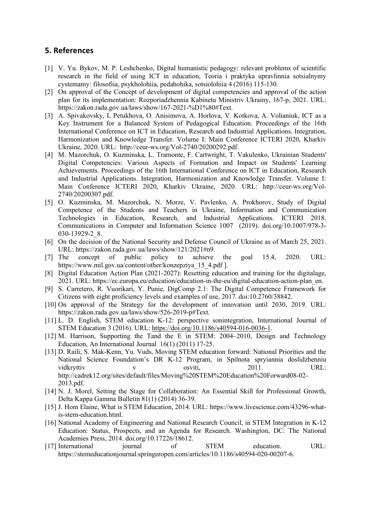# 5. References

- [1] V. Yu. Bykov, M. P. Leshchenko, Digital humanistic pedagogy: relevant problems of scientific research in the field of using ICT in education, Teoria i praktyka upravlinnia sotsialnymy cystemamy: filosofiia, psykholohiia, pedahohika, sotsiolohiia 4 (2016) 115-130.
- [2] On approval of the Concept of development of digital competencies and approval of the action plan for its implementation: Rozporiadzhennia Kabinetu Ministriv Ukrainy, 167-р, 2021. URL: https://zakon.rada.gov.ua/laws/show/167-2021-%D1%80#Text.
- [3] A. Spivakovsky, L Petukhova, O. Anisimova, A. Horlova, V. Kotkova, A. Volianiuk, ICT as a Key Instrument for a Balanced System of Pedagogical Education. Proceedings of the 16th International Conference on ICT in Education, Research and Industrial Applications. Integration, Harmonization and Knowledge Transfer. Volume I: Main Conference ICTERI 2020, Kharkiv Ukraine, 2020. URL: http://ceur-ws.org/Vol-2740/20200292.pdf.
- [4] M. Mazorchuk, O. Kuzminska, L. Tramonte, F. Cartwright, T. Vakulenko, Ukrainian Students' Digital Competencies: Various Aspects of Formation and Impact on Students' Learning Achievements. Proceedings of the 16th International Conference on ICT in Education, Research and Industrial Applications. Integration, Harmonization and Knowledge Transfer. Volume I: Main Conference ICTERI 2020, Kharkiv Ukraine, 2020. URL: http://ceur-ws.org/Vol-2740/20200307.pdf.
- [5] O. Kuzminska, M. Mazorchuk, N. Morze, V. Pavlenko, A. Prokhorov, Study of Digital Competence of the Students and Teachers in Ukraine, Information and Communication Technologies in Education, Research, and Industrial Applications. ICTERI 2018. Communications in Computer and Information Science 1007 (2019). doi.org/10.1007/978-3- 030-13929-2\_8.
- [6] On the decision of the National Security and Defense Council of Ukraine as of March 25, 2021. URL: https://zakon.rada.gov.ua/laws/show/121/2021#n9.
- [7] The concept of public policy to achieve the goal 15.4, 2020. URL: https://www.mil.gov.ua/content/other/konzepziya\_15\_4.pdf ].
- [8] Digital Education Action Plan (2021-2027): Resetting education and training for the digitalage, 2021. URL: https://ec.europa.eu/education/education-in-the-eu/digital-education-action-plan\_en.
- [9] S. Carretero, R. Vuorikari, Y. Punie, DigComp 2.1: The Digital Competence Framework for Citizens with eight proficiency levels and examples of use, 2017. doi:10.2760/38842.
- [10] On approval of the Strategy for the development of innovation until 2030, 2019. URL: https://zakon.rada.gov.ua/laws/show/526-2019-р#Text.
- [11] L. D. English, STEM education K-12: perspective sonintegration, International Journal of STEM Education 3 (2016). URL: https://doi.org/10.1186/s40594-016-0036-1.
- [12] M. Harrison, Supporting the Tand the E in STEM: 2004–2010, Design and Technology Education, An International Journal 16(1) (2011) 17-25.
- [13] D. Raili, S. Mak-Kenn, Yu. Vuds, Moving STEM education forward: National Priorities and the National Science Foundation's DR K-12 Program, in Spilnota spryiannia doslidzhenniu vidkryttiv v v osviti, 2011. URL: http://cadrek12.org/sites/default/files/Moving%20STEM%20Education%20Forward08-02- 2013.pdf.
- [14] N. J. Morel, Setting the Stage for Collaboration: An Essential Skill for Professional Growth, Delta Kappa Gamma Bulletin 81(1) (2014) 36-39.
- [15] J. Hom Elaine, What is STEM Education, 2014. URL: https://www.livescience.com/43296-whatis-stem-education.html.
- [16] National Academy of Engineering and National Research Council, in STEM Integration in K-12 Education: Status, Prospects, and an Agenda for Research. Washington, DC: The National Academies Press, 2014. doi.org/10.17226/18612.
- [17] International journal of STEM education. URL: https://stemeducationjournal.springeropen.com/articles/10.1186/s40594-020-00207-6.